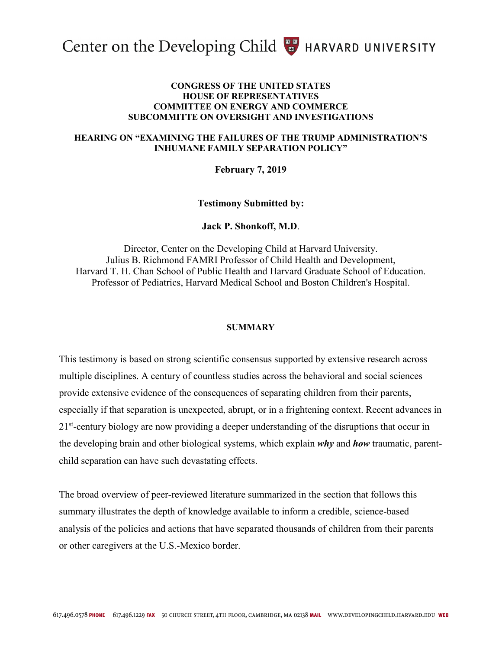

### **CONGRESS OF THE UNITED STATES HOUSE OF REPRESENTATIVES COMMITTEE ON ENERGY AND COMMERCE SUBCOMMITTE ON OVERSIGHT AND INVESTIGATIONS**

### **HEARING ON "EXAMINING THE FAILURES OF THE TRUMP ADMINISTRATION'S INHUMANE FAMILY SEPARATION POLICY"**

**February 7, 2019**

**Testimony Submitted by:**

**Jack P. Shonkoff, M.D**.

Director, Center on the Developing Child at Harvard University. Julius B. Richmond FAMRI Professor of Child Health and Development, Harvard T. H. Chan School of Public Health and Harvard Graduate School of Education. Professor of Pediatrics, Harvard Medical School and Boston Children's Hospital.

#### **SUMMARY**

This testimony is based on strong scientific consensus supported by extensive research across multiple disciplines. A century of countless studies across the behavioral and social sciences provide extensive evidence of the consequences of separating children from their parents, especially if that separation is unexpected, abrupt, or in a frightening context. Recent advances in 21<sup>st</sup>-century biology are now providing a deeper understanding of the disruptions that occur in the developing brain and other biological systems, which explain *why* and *how* traumatic, parentchild separation can have such devastating effects.

The broad overview of peer-reviewed literature summarized in the section that follows this summary illustrates the depth of knowledge available to inform a credible, science-based analysis of the policies and actions that have separated thousands of children from their parents or other caregivers at the U.S.-Mexico border.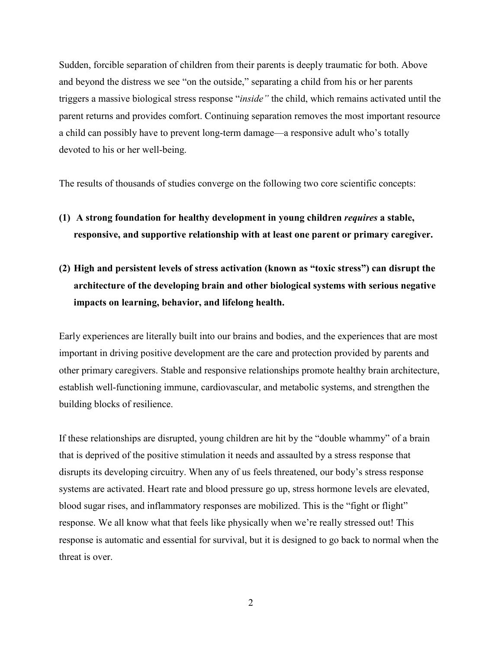Sudden, forcible separation of children from their parents is deeply traumatic for both. Above and beyond the distress we see "on the outside," separating a child from his or her parents triggers a massive biological stress response "*inside"* the child, which remains activated until the parent returns and provides comfort. Continuing separation removes the most important resource a child can possibly have to prevent long-term damage—a responsive adult who's totally devoted to his or her well-being.

The results of thousands of studies converge on the following two core scientific concepts:

# **(1) A strong foundation for healthy development in young children** *requires* **a stable, responsive, and supportive relationship with at least one parent or primary caregiver.**

**(2) High and persistent levels of stress activation (known as "toxic stress") can disrupt the architecture of the developing brain and other biological systems with serious negative impacts on learning, behavior, and lifelong health.**

Early experiences are literally built into our brains and bodies, and the experiences that are most important in driving positive development are the care and protection provided by parents and other primary caregivers. Stable and responsive relationships promote healthy brain architecture, establish well-functioning immune, cardiovascular, and metabolic systems, and strengthen the building blocks of resilience.

If these relationships are disrupted, young children are hit by the "double whammy" of a brain that is deprived of the positive stimulation it needs and assaulted by a stress response that disrupts its developing circuitry. When any of us feels threatened, our body's stress response systems are activated. Heart rate and blood pressure go up, stress hormone levels are elevated, blood sugar rises, and inflammatory responses are mobilized. This is the "fight or flight" response. We all know what that feels like physically when we're really stressed out! This response is automatic and essential for survival, but it is designed to go back to normal when the threat is over.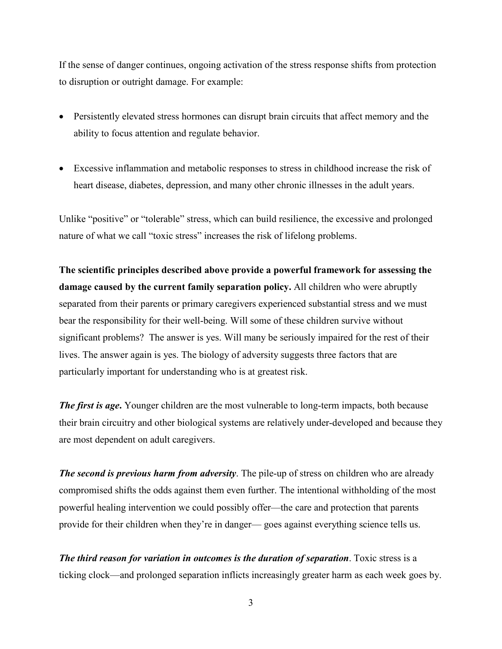If the sense of danger continues, ongoing activation of the stress response shifts from protection to disruption or outright damage. For example:

- Persistently elevated stress hormones can disrupt brain circuits that affect memory and the ability to focus attention and regulate behavior.
- Excessive inflammation and metabolic responses to stress in childhood increase the risk of heart disease, diabetes, depression, and many other chronic illnesses in the adult years.

Unlike "positive" or "tolerable" stress, which can build resilience, the excessive and prolonged nature of what we call "toxic stress" increases the risk of lifelong problems.

**The scientific principles described above provide a powerful framework for assessing the damage caused by the current family separation policy.** All children who were abruptly separated from their parents or primary caregivers experienced substantial stress and we must bear the responsibility for their well-being. Will some of these children survive without significant problems? The answer is yes. Will many be seriously impaired for the rest of their lives. The answer again is yes. The biology of adversity suggests three factors that are particularly important for understanding who is at greatest risk.

*The first is age***.** Younger children are the most vulnerable to long-term impacts, both because their brain circuitry and other biological systems are relatively under-developed and because they are most dependent on adult caregivers.

*The second is previous harm from adversity*. The pile-up of stress on children who are already compromised shifts the odds against them even further. The intentional withholding of the most powerful healing intervention we could possibly offer—the care and protection that parents provide for their children when they're in danger— goes against everything science tells us.

*The third reason for variation in outcomes is the duration of separation*. Toxic stress is a ticking clock—and prolonged separation inflicts increasingly greater harm as each week goes by.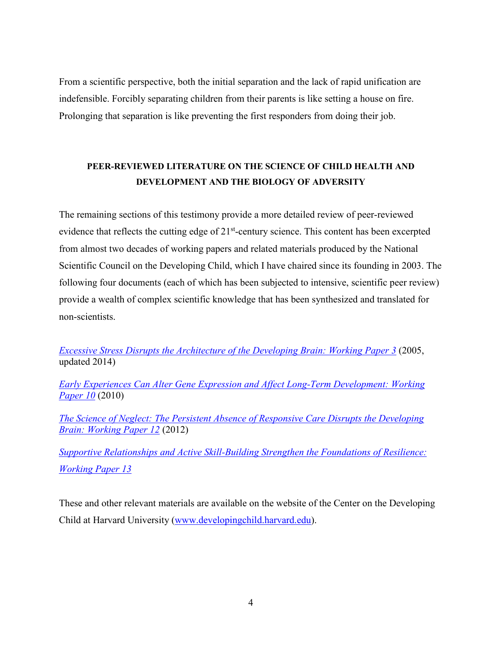From a scientific perspective, both the initial separation and the lack of rapid unification are indefensible. Forcibly separating children from their parents is like setting a house on fire. Prolonging that separation is like preventing the first responders from doing their job.

## **PEER-REVIEWED LITERATURE ON THE SCIENCE OF CHILD HEALTH AND DEVELOPMENT AND THE BIOLOGY OF ADVERSITY**

The remaining sections of this testimony provide a more detailed review of peer-reviewed evidence that reflects the cutting edge of 21<sup>st</sup>-century science. This content has been excerpted from almost two decades of working papers and related materials produced by the National Scientific Council on the Developing Child, which I have chaired since its founding in 2003. The following four documents (each of which has been subjected to intensive, scientific peer review) provide a wealth of complex scientific knowledge that has been synthesized and translated for non-scientists.

*[Excessive Stress Disrupts the Architecture of the Developing Brain: Working Paper 3](https://developingchild.harvard.edu/resources/wp3/)* (2005, updated 2014)

*[Early Experiences Can Alter Gene Expression and Affect Long-Term Development: Working](https://developingchild.harvard.edu/resources/early-experiences-can-alter-gene-expression-and-affect-long-term-development/)  [Paper 10](https://developingchild.harvard.edu/resources/early-experiences-can-alter-gene-expression-and-affect-long-term-development/)* (2010)

*[The Science of Neglect: The Persistent Absence of Responsive Care Disrupts the Developing](https://developingchild.harvard.edu/resources/the-science-of-neglect-the-persistent-absence-of-responsive-care-disrupts-the-developing-brain/)  [Brain: Working Paper 12](https://developingchild.harvard.edu/resources/the-science-of-neglect-the-persistent-absence-of-responsive-care-disrupts-the-developing-brain/)* (2012)

*[Supportive Relationships and Active Skill-Building Strengthen the Foundations of Resilience:](https://developingchild.harvard.edu/resources/supportive-relationships-and-active-skill-building-strengthen-the-foundations-of-resilience/)  [Working Paper 13](https://developingchild.harvard.edu/resources/supportive-relationships-and-active-skill-building-strengthen-the-foundations-of-resilience/)*

These and other relevant materials are available on the website of the Center on the Developing Child at Harvard University [\(www.developingchild.harvard.edu\)](http://www.developingchild.harvard.edu/).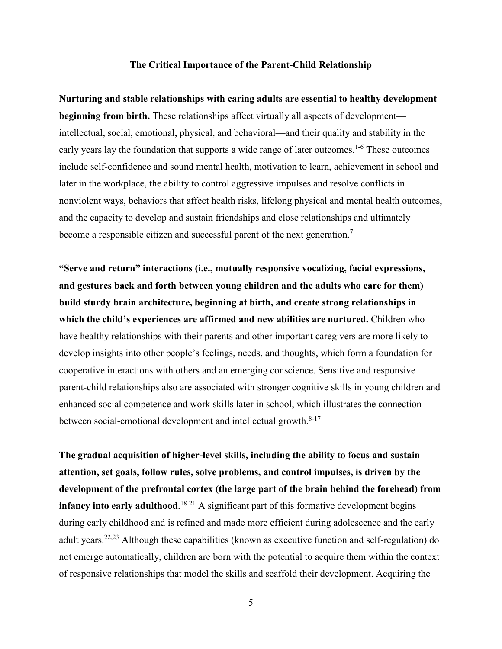### **The Critical Importance of the Parent-Child Relationship**

**Nurturing and stable relationships with caring adults are essential to healthy development beginning from birth.** These relationships affect virtually all aspects of development intellectual, social, emotional, physical, and behavioral—and their quality and stability in the early years lay the foundation that supports a wide range of later outcomes.<sup>1-6</sup> These outcomes include self-confidence and sound mental health, motivation to learn, achievement in school and later in the workplace, the ability to control aggressive impulses and resolve conflicts in nonviolent ways, behaviors that affect health risks, lifelong physical and mental health outcomes, and the capacity to develop and sustain friendships and close relationships and ultimately become a responsible citizen and successful parent of the next generation.<sup>7</sup>

**"Serve and return" interactions (i.e., mutually responsive vocalizing, facial expressions, and gestures back and forth between young children and the adults who care for them) build sturdy brain architecture, beginning at birth, and create strong relationships in which the child's experiences are affirmed and new abilities are nurtured.** Children who have healthy relationships with their parents and other important caregivers are more likely to develop insights into other people's feelings, needs, and thoughts, which form a foundation for cooperative interactions with others and an emerging conscience. Sensitive and responsive parent-child relationships also are associated with stronger cognitive skills in young children and enhanced social competence and work skills later in school, which illustrates the connection between social-emotional development and intellectual growth. $8-17$ 

**The gradual acquisition of higher-level skills, including the ability to focus and sustain attention, set goals, follow rules, solve problems, and control impulses, is driven by the development of the prefrontal cortex (the large part of the brain behind the forehead) from infancy into early adulthood**.<sup>18-21</sup> A significant part of this formative development begins during early childhood and is refined and made more efficient during adolescence and the early adult years.22,23 Although these capabilities (known as executive function and self-regulation) do not emerge automatically, children are born with the potential to acquire them within the context of responsive relationships that model the skills and scaffold their development. Acquiring the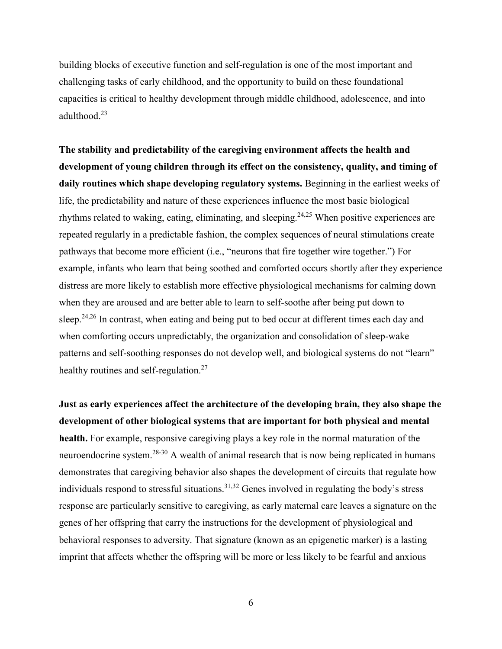building blocks of executive function and self-regulation is one of the most important and challenging tasks of early childhood, and the opportunity to build on these foundational capacities is critical to healthy development through middle childhood, adolescence, and into adulthood.23

**The stability and predictability of the caregiving environment affects the health and development of young children through its effect on the consistency, quality, and timing of daily routines which shape developing regulatory systems.** Beginning in the earliest weeks of life, the predictability and nature of these experiences influence the most basic biological rhythms related to waking, eating, eliminating, and sleeping.<sup>24,25</sup> When positive experiences are repeated regularly in a predictable fashion, the complex sequences of neural stimulations create pathways that become more efficient (i.e., "neurons that fire together wire together.") For example, infants who learn that being soothed and comforted occurs shortly after they experience distress are more likely to establish more effective physiological mechanisms for calming down when they are aroused and are better able to learn to self-soothe after being put down to sleep.<sup>24,26</sup> In contrast, when eating and being put to bed occur at different times each day and when comforting occurs unpredictably, the organization and consolidation of sleep-wake patterns and self-soothing responses do not develop well, and biological systems do not "learn" healthy routines and self-regulation.<sup>27</sup>

**Just as early experiences affect the architecture of the developing brain, they also shape the development of other biological systems that are important for both physical and mental health.** For example, responsive caregiving plays a key role in the normal maturation of the neuroendocrine system.28-30 A wealth of animal research that is now being replicated in humans demonstrates that caregiving behavior also shapes the development of circuits that regulate how individuals respond to stressful situations.<sup>31,32</sup> Genes involved in regulating the body's stress response are particularly sensitive to caregiving, as early maternal care leaves a signature on the genes of her offspring that carry the instructions for the development of physiological and behavioral responses to adversity. That signature (known as an epigenetic marker) is a lasting imprint that affects whether the offspring will be more or less likely to be fearful and anxious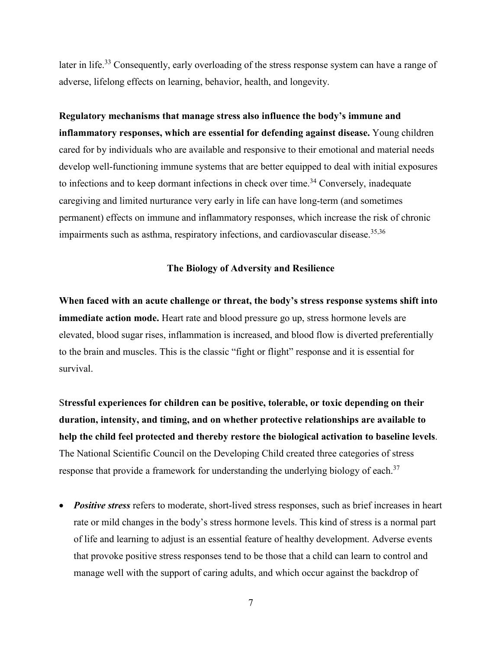later in life.<sup>33</sup> Consequently, early overloading of the stress response system can have a range of adverse, lifelong effects on learning, behavior, health, and longevity.

**Regulatory mechanisms that manage stress also influence the body's immune and inflammatory responses, which are essential for defending against disease.** Young children cared for by individuals who are available and responsive to their emotional and material needs develop well-functioning immune systems that are better equipped to deal with initial exposures to infections and to keep dormant infections in check over time.<sup>34</sup> Conversely, inadequate caregiving and limited nurturance very early in life can have long-term (and sometimes permanent) effects on immune and inflammatory responses, which increase the risk of chronic impairments such as asthma, respiratory infections, and cardiovascular disease.  $35,36$ 

### **The Biology of Adversity and Resilience**

**When faced with an acute challenge or threat, the body's stress response systems shift into immediate action mode.** Heart rate and blood pressure go up, stress hormone levels are elevated, blood sugar rises, inflammation is increased, and blood flow is diverted preferentially to the brain and muscles. This is the classic "fight or flight" response and it is essential for survival.

S**tressful experiences for children can be positive, tolerable, or toxic depending on their duration, intensity, and timing, and on whether protective relationships are available to help the child feel protected and thereby restore the biological activation to baseline levels**. The National Scientific Council on the Developing Child created three categories of stress response that provide a framework for understanding the underlying biology of each.<sup>37</sup>

• *Positive stress* refers to moderate, short-lived stress responses, such as brief increases in heart rate or mild changes in the body's stress hormone levels. This kind of stress is a normal part of life and learning to adjust is an essential feature of healthy development. Adverse events that provoke positive stress responses tend to be those that a child can learn to control and manage well with the support of caring adults, and which occur against the backdrop of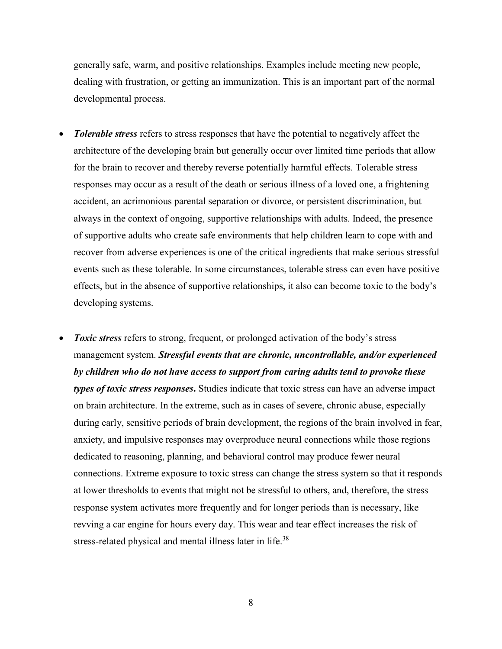generally safe, warm, and positive relationships. Examples include meeting new people, dealing with frustration, or getting an immunization. This is an important part of the normal developmental process.

- *Tolerable stress* refers to stress responses that have the potential to negatively affect the architecture of the developing brain but generally occur over limited time periods that allow for the brain to recover and thereby reverse potentially harmful effects. Tolerable stress responses may occur as a result of the death or serious illness of a loved one, a frightening accident, an acrimonious parental separation or divorce, or persistent discrimination, but always in the context of ongoing, supportive relationships with adults. Indeed, the presence of supportive adults who create safe environments that help children learn to cope with and recover from adverse experiences is one of the critical ingredients that make serious stressful events such as these tolerable. In some circumstances, tolerable stress can even have positive effects, but in the absence of supportive relationships, it also can become toxic to the body's developing systems.
- *Toxic stress* refers to strong, frequent, or prolonged activation of the body's stress management system. *Stressful events that are chronic, uncontrollable, and/or experienced by children who do not have access to support from caring adults tend to provoke these types of toxic stress responses***.** Studies indicate that toxic stress can have an adverse impact on brain architecture. In the extreme, such as in cases of severe, chronic abuse, especially during early, sensitive periods of brain development, the regions of the brain involved in fear, anxiety, and impulsive responses may overproduce neural connections while those regions dedicated to reasoning, planning, and behavioral control may produce fewer neural connections. Extreme exposure to toxic stress can change the stress system so that it responds at lower thresholds to events that might not be stressful to others, and, therefore, the stress response system activates more frequently and for longer periods than is necessary, like revving a car engine for hours every day. This wear and tear effect increases the risk of stress-related physical and mental illness later in life.<sup>38</sup>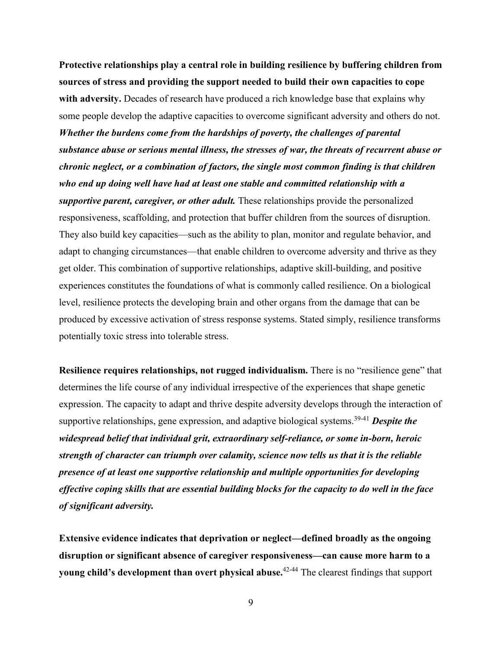**Protective relationships play a central role in building resilience by buffering children from sources of stress and providing the support needed to build their own capacities to cope with adversity.** Decades of research have produced a rich knowledge base that explains why some people develop the adaptive capacities to overcome significant adversity and others do not. *Whether the burdens come from the hardships of poverty, the challenges of parental substance abuse or serious mental illness, the stresses of war, the threats of recurrent abuse or chronic neglect, or a combination of factors, the single most common finding is that children who end up doing well have had at least one stable and committed relationship with a supportive parent, caregiver, or other adult.* These relationships provide the personalized responsiveness, scaffolding, and protection that buffer children from the sources of disruption. They also build key capacities—such as the ability to plan, monitor and regulate behavior, and adapt to changing circumstances—that enable children to overcome adversity and thrive as they get older. This combination of supportive relationships, adaptive skill-building, and positive experiences constitutes the foundations of what is commonly called resilience. On a biological level, resilience protects the developing brain and other organs from the damage that can be produced by excessive activation of stress response systems. Stated simply, resilience transforms potentially toxic stress into tolerable stress.

**Resilience requires relationships, not rugged individualism.** There is no "resilience gene" that determines the life course of any individual irrespective of the experiences that shape genetic expression. The capacity to adapt and thrive despite adversity develops through the interaction of supportive relationships, gene expression, and adaptive biological systems.<sup>39-41</sup> **Despite the** *widespread belief that individual grit, extraordinary self-reliance, or some in-born, heroic strength of character can triumph over calamity, science now tells us that it is the reliable presence of at least one supportive relationship and multiple opportunities for developing effective coping skills that are essential building blocks for the capacity to do well in the face of significant adversity.*

**Extensive evidence indicates that deprivation or neglect—defined broadly as the ongoing disruption or significant absence of caregiver responsiveness—can cause more harm to a young child's development than overt physical abuse.** 42-44 The clearest findings that support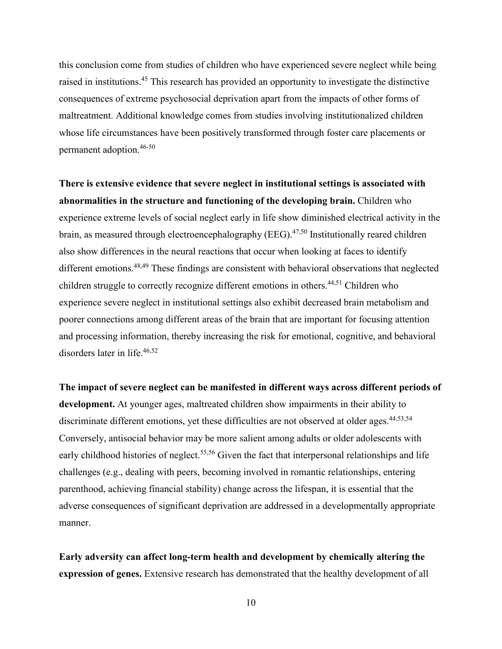this conclusion come from studies of children who have experienced severe neglect while being raised in institutions.45 This research has provided an opportunity to investigate the distinctive consequences of extreme psychosocial deprivation apart from the impacts of other forms of maltreatment. Additional knowledge comes from studies involving institutionalized children whose life circumstances have been positively transformed through foster care placements or permanent adoption.46-50

**There is extensive evidence that severe neglect in institutional settings is associated with abnormalities in the structure and functioning of the developing brain.** Children who experience extreme levels of social neglect early in life show diminished electrical activity in the brain, as measured through electroencephalography (EEG).<sup>47,50</sup> Institutionally reared children also show differences in the neural reactions that occur when looking at faces to identify different emotions.<sup>48,49</sup> These findings are consistent with behavioral observations that neglected children struggle to correctly recognize different emotions in others.<sup>44,51</sup> Children who experience severe neglect in institutional settings also exhibit decreased brain metabolism and poorer connections among different areas of the brain that are important for focusing attention and processing information, thereby increasing the risk for emotional, cognitive, and behavioral disorders later in life.<sup>46,52</sup>

**The impact of severe neglect can be manifested in different ways across different periods of development.** At younger ages, maltreated children show impairments in their ability to discriminate different emotions, yet these difficulties are not observed at older ages.<sup>44,53,54</sup> Conversely, antisocial behavior may be more salient among adults or older adolescents with early childhood histories of neglect.<sup>55,56</sup> Given the fact that interpersonal relationships and life challenges (e.g., dealing with peers, becoming involved in romantic relationships, entering parenthood, achieving financial stability) change across the lifespan, it is essential that the adverse consequences of significant deprivation are addressed in a developmentally appropriate manner.

**Early adversity can affect long-term health and development by chemically altering the expression of genes.** Extensive research has demonstrated that the healthy development of all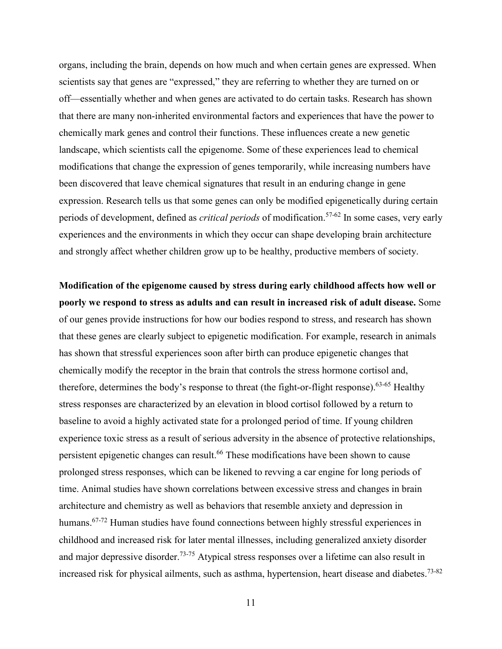organs, including the brain, depends on how much and when certain genes are expressed. When scientists say that genes are "expressed," they are referring to whether they are turned on or off—essentially whether and when genes are activated to do certain tasks. Research has shown that there are many non-inherited environmental factors and experiences that have the power to chemically mark genes and control their functions. These influences create a new genetic landscape, which scientists call the epigenome. Some of these experiences lead to chemical modifications that change the expression of genes temporarily, while increasing numbers have been discovered that leave chemical signatures that result in an enduring change in gene expression. Research tells us that some genes can only be modified epigenetically during certain periods of development, defined as *critical periods* of modification. 57-62 In some cases, very early experiences and the environments in which they occur can shape developing brain architecture and strongly affect whether children grow up to be healthy, productive members of society.

**Modification of the epigenome caused by stress during early childhood affects how well or poorly we respond to stress as adults and can result in increased risk of adult disease.** Some of our genes provide instructions for how our bodies respond to stress, and research has shown that these genes are clearly subject to epigenetic modification. For example, research in animals has shown that stressful experiences soon after birth can produce epigenetic changes that chemically modify the receptor in the brain that controls the stress hormone cortisol and, therefore, determines the body's response to threat (the fight-or-flight response).<sup>63-65</sup> Healthy stress responses are characterized by an elevation in blood cortisol followed by a return to baseline to avoid a highly activated state for a prolonged period of time. If young children experience toxic stress as a result of serious adversity in the absence of protective relationships, persistent epigenetic changes can result.<sup>66</sup> These modifications have been shown to cause prolonged stress responses, which can be likened to revving a car engine for long periods of time. Animal studies have shown correlations between excessive stress and changes in brain architecture and chemistry as well as behaviors that resemble anxiety and depression in humans.<sup>67-72</sup> Human studies have found connections between highly stressful experiences in childhood and increased risk for later mental illnesses, including generalized anxiety disorder and major depressive disorder.<sup>73-75</sup> Atypical stress responses over a lifetime can also result in increased risk for physical ailments, such as asthma, hypertension, heart disease and diabetes.<sup>73-82</sup>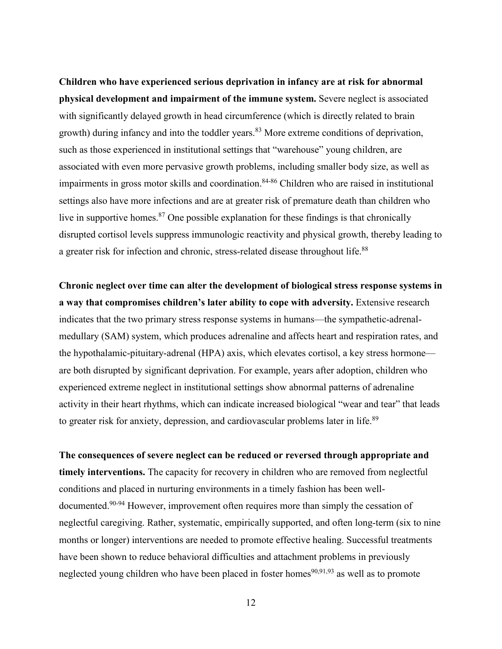**Children who have experienced serious deprivation in infancy are at risk for abnormal physical development and impairment of the immune system.** Severe neglect is associated with significantly delayed growth in head circumference (which is directly related to brain growth) during infancy and into the toddler years.<sup>83</sup> More extreme conditions of deprivation, such as those experienced in institutional settings that "warehouse" young children, are associated with even more pervasive growth problems, including smaller body size, as well as impairments in gross motor skills and coordination.<sup>84-86</sup> Children who are raised in institutional settings also have more infections and are at greater risk of premature death than children who live in supportive homes.<sup>87</sup> One possible explanation for these findings is that chronically disrupted cortisol levels suppress immunologic reactivity and physical growth, thereby leading to a greater risk for infection and chronic, stress-related disease throughout life.<sup>88</sup>

**Chronic neglect over time can alter the development of biological stress response systems in a way that compromises children's later ability to cope with adversity.** Extensive research indicates that the two primary stress response systems in humans—the sympathetic-adrenalmedullary (SAM) system, which produces adrenaline and affects heart and respiration rates, and the hypothalamic-pituitary-adrenal (HPA) axis, which elevates cortisol, a key stress hormone are both disrupted by significant deprivation. For example, years after adoption, children who experienced extreme neglect in institutional settings show abnormal patterns of adrenaline activity in their heart rhythms, which can indicate increased biological "wear and tear" that leads to greater risk for anxiety, depression, and cardiovascular problems later in life.<sup>89</sup>

**The consequences of severe neglect can be reduced or reversed through appropriate and timely interventions.** The capacity for recovery in children who are removed from neglectful conditions and placed in nurturing environments in a timely fashion has been welldocumented.90-94 However, improvement often requires more than simply the cessation of neglectful caregiving. Rather, systematic, empirically supported, and often long-term (six to nine months or longer) interventions are needed to promote effective healing. Successful treatments have been shown to reduce behavioral difficulties and attachment problems in previously neglected young children who have been placed in foster homes<sup>90,91,93</sup> as well as to promote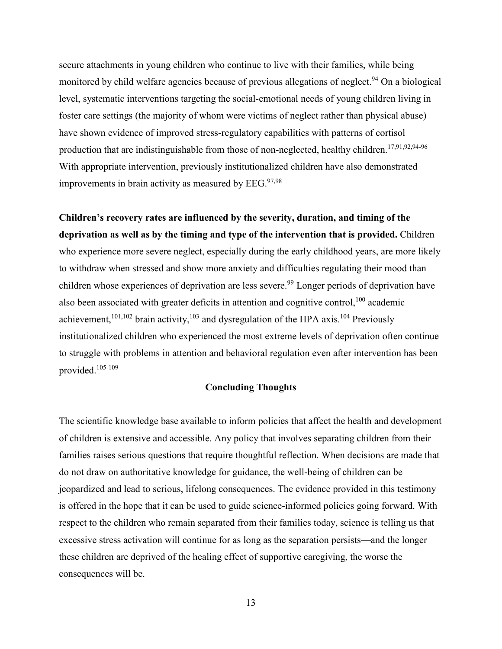secure attachments in young children who continue to live with their families, while being monitored by child welfare agencies because of previous allegations of neglect.<sup>94</sup> On a biological level, systematic interventions targeting the social-emotional needs of young children living in foster care settings (the majority of whom were victims of neglect rather than physical abuse) have shown evidence of improved stress-regulatory capabilities with patterns of cortisol production that are indistinguishable from those of non-neglected, healthy children.<sup>17,91,92,94-96</sup> With appropriate intervention, previously institutionalized children have also demonstrated improvements in brain activity as measured by  $EEG^{97,98}$ 

**Children's recovery rates are influenced by the severity, duration, and timing of the deprivation as well as by the timing and type of the intervention that is provided.** Children who experience more severe neglect, especially during the early childhood years, are more likely to withdraw when stressed and show more anxiety and difficulties regulating their mood than children whose experiences of deprivation are less severe.<sup>99</sup> Longer periods of deprivation have also been associated with greater deficits in attention and cognitive control,  $100$  academic achievement,<sup>101,102</sup> brain activity,<sup>103</sup> and dysregulation of the HPA axis.<sup>104</sup> Previously institutionalized children who experienced the most extreme levels of deprivation often continue to struggle with problems in attention and behavioral regulation even after intervention has been provided.105-109

### **Concluding Thoughts**

The scientific knowledge base available to inform policies that affect the health and development of children is extensive and accessible. Any policy that involves separating children from their families raises serious questions that require thoughtful reflection. When decisions are made that do not draw on authoritative knowledge for guidance, the well-being of children can be jeopardized and lead to serious, lifelong consequences. The evidence provided in this testimony is offered in the hope that it can be used to guide science-informed policies going forward. With respect to the children who remain separated from their families today, science is telling us that excessive stress activation will continue for as long as the separation persists—and the longer these children are deprived of the healing effect of supportive caregiving, the worse the consequences will be.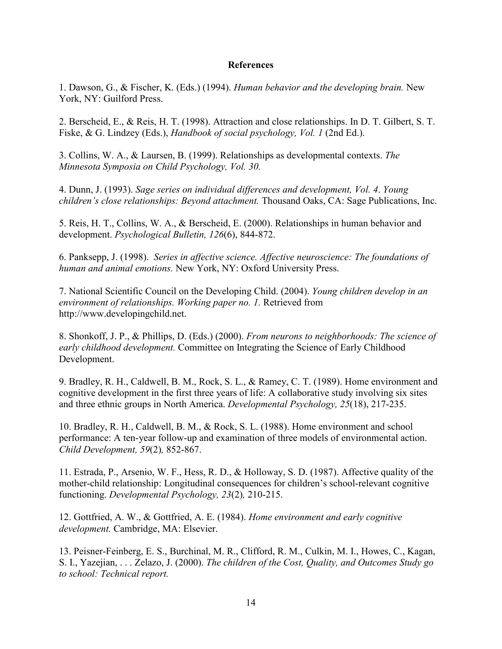### **References**

1. Dawson, G., & Fischer, K. (Eds.) (1994). *Human behavior and the developing brain.* New York, NY: Guilford Press.

2. Berscheid, E., & Reis, H. T. (1998). Attraction and close relationships. In D. T. Gilbert, S. T. Fiske, & G. Lindzey (Eds.), *Handbook of social psychology, Vol. 1* (2nd Ed.).

3. Collins, W. A., & Laursen, B. (1999). Relationships as developmental contexts. *The Minnesota Symposia on Child Psychology, Vol. 30.*

4. Dunn, J. (1993). *Sage series on individual differences and development, Vol. 4*. *Young children's close relationships: Beyond attachment.* Thousand Oaks, CA: Sage Publications, Inc.

5. Reis, H. T., Collins, W. A., & Berscheid, E. (2000). Relationships in human behavior and development. *Psychological Bulletin, 126*(6), 844-872.

6. Panksepp, J. (1998). *Series in affective science. Affective neuroscience: The foundations of human and animal emotions.* New York, NY: Oxford University Press.

7. National Scientific Council on the Developing Child. (2004). *Young children develop in an environment of relationships. Working paper no. 1.* Retrieved from http://www.developingchild.net.

8. Shonkoff, J. P., & Phillips, D. (Eds.) (2000). *From neurons to neighborhoods: The science of early childhood development.* Committee on Integrating the Science of Early Childhood Development.

9. Bradley, R. H., Caldwell, B. M., Rock, S. L., & Ramey, C. T. (1989). Home environment and cognitive development in the first three years of life: A collaborative study involving six sites and three ethnic groups in North America. *Developmental Psychology, 25*(18), 217-235.

10. Bradley, R. H., Caldwell, B. M., & Rock, S. L. (1988). Home environment and school performance: A ten-year follow-up and examination of three models of environmental action. *Child Development, 59*(2)*,* 852-867.

11. Estrada, P., Arsenio, W. F., Hess, R. D., & Holloway, S. D. (1987). Affective quality of the mother-child relationship: Longitudinal consequences for children's school-relevant cognitive functioning. *Developmental Psychology, 23*(2)*,* 210-215.

12. Gottfried, A. W., & Gottfried, A. E. (1984). *Home environment and early cognitive development.* Cambridge, MA: Elsevier.

13. Peisner-Feinberg, E. S., Burchinal, M. R., Clifford, R. M., Culkin, M. I., Howes, C., Kagan, S. I., Yazejian, . . . Zelazo, J. (2000). *The children of the Cost, Quality, and Outcomes Study go to school: Technical report.*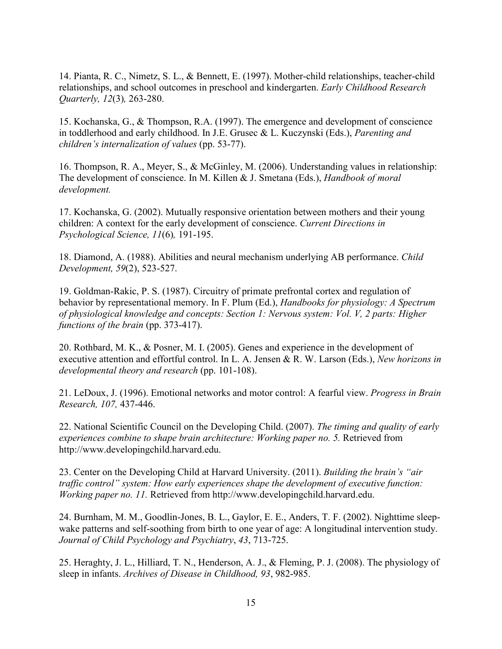14. Pianta, R. C., Nimetz, S. L., & Bennett, E. (1997). Mother-child relationships, teacher-child relationships, and school outcomes in preschool and kindergarten. *Early Childhood Research Quarterly, 12*(3)*,* 263-280.

15. Kochanska, G., & Thompson, R.A. (1997). The emergence and development of conscience in toddlerhood and early childhood. In J.E. Grusec & L. Kuczynski (Eds.), *Parenting and children's internalization of values* (pp. 53-77).

16. Thompson, R. A., Meyer, S., & McGinley, M. (2006). Understanding values in relationship: The development of conscience. In M. Killen & J. Smetana (Eds.), *Handbook of moral development.*

17. Kochanska, G. (2002). Mutually responsive orientation between mothers and their young children: A context for the early development of conscience. *Current Directions in Psychological Science, 11*(6)*,* 191-195.

18. Diamond, A. (1988). Abilities and neural mechanism underlying AB performance. *Child Development, 59*(2), 523-527.

19. Goldman-Rakic, P. S. (1987). Circuitry of primate prefrontal cortex and regulation of behavior by representational memory. In F. Plum (Ed.), *Handbooks for physiology: A Spectrum of physiological knowledge and concepts: Section 1: Nervous system: Vol. V, 2 parts: Higher functions of the brain* (pp. 373-417).

20. Rothbard, M. K., & Posner, M. I. (2005). Genes and experience in the development of executive attention and effortful control. In L. A. Jensen & R. W. Larson (Eds.), *New horizons in developmental theory and research* (pp. 101-108).

21. LeDoux, J. (1996). Emotional networks and motor control: A fearful view. *Progress in Brain Research, 107,* 437-446.

22. National Scientific Council on the Developing Child. (2007). *The timing and quality of early experiences combine to shape brain architecture: Working paper no. 5.* Retrieved from http://www.developingchild.harvard.edu.

23. Center on the Developing Child at Harvard University. (2011). *Building the brain's "air traffic control" system: How early experiences shape the development of executive function: Working paper no. 11.* Retrieved from http://www.developingchild.harvard.edu.

24. Burnham, M. M., Goodlin-Jones, B. L., Gaylor, E. E., Anders, T. F. (2002). Nighttime sleepwake patterns and self-soothing from birth to one year of age: A longitudinal intervention study. *Journal of Child Psychology and Psychiatry*, *43*, 713-725.

25. Heraghty, J. L., Hilliard, T. N., Henderson, A. J., & Fleming, P. J. (2008). The physiology of sleep in infants. *Archives of Disease in Childhood, 93*, 982-985.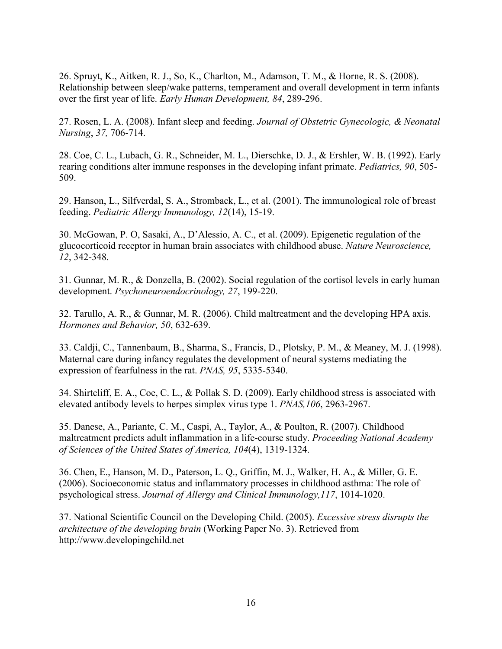26. Spruyt, K., Aitken, R. J., So, K., Charlton, M., Adamson, T. M., & Horne, R. S. (2008). Relationship between sleep/wake patterns, temperament and overall development in term infants over the first year of life. *Early Human Development, 84*, 289-296.

27. Rosen, L. A. (2008). Infant sleep and feeding. *Journal of Obstetric Gynecologic, & Neonatal Nursing*, *37,* 706-714.

28. Coe, C. L., Lubach, G. R., Schneider, M. L., Dierschke, D. J., & Ershler, W. B. (1992). Early rearing conditions alter immune responses in the developing infant primate. *Pediatrics, 90*, 505- 509.

29. Hanson, L., Silfverdal, S. A., Stromback, L., et al. (2001). The immunological role of breast feeding. *Pediatric Allergy Immunology, 12*(14), 15-19.

30. McGowan, P. O, Sasaki, A., D'Alessio, A. C., et al. (2009). Epigenetic regulation of the glucocorticoid receptor in human brain associates with childhood abuse. *Nature Neuroscience, 12*, 342-348.

31. Gunnar, M. R., & Donzella, B. (2002). Social regulation of the cortisol levels in early human development. *Psychoneuroendocrinology, 27*, 199-220.

32. Tarullo, A. R., & Gunnar, M. R. (2006). Child maltreatment and the developing HPA axis. *Hormones and Behavior, 50*, 632-639.

33. Caldji, C., Tannenbaum, B., Sharma, S., Francis, D., Plotsky, P. M., & Meaney, M. J. (1998). Maternal care during infancy regulates the development of neural systems mediating the expression of fearfulness in the rat. *PNAS, 95*, 5335-5340.

34. Shirtcliff, E. A., Coe, C. L., & Pollak S. D. (2009). Early childhood stress is associated with elevated antibody levels to herpes simplex virus type 1. *PNAS,106*, 2963-2967.

35. Danese, A., Pariante, C. M., Caspi, A., Taylor, A., & Poulton, R. (2007). Childhood maltreatment predicts adult inflammation in a life-course study. *Proceeding National Academy of Sciences of the United States of America, 104*(4), 1319-1324.

36. Chen, E., Hanson, M. D., Paterson, L. Q., Griffin, M. J., Walker, H. A., & Miller, G. E. (2006). Socioeconomic status and inflammatory processes in childhood asthma: The role of psychological stress. *Journal of Allergy and Clinical Immunology,117*, 1014-1020.

37. National Scientific Council on the Developing Child. (2005). *Excessive stress disrupts the architecture of the developing brain* (Working Paper No. 3). Retrieved from http://www.developingchild.net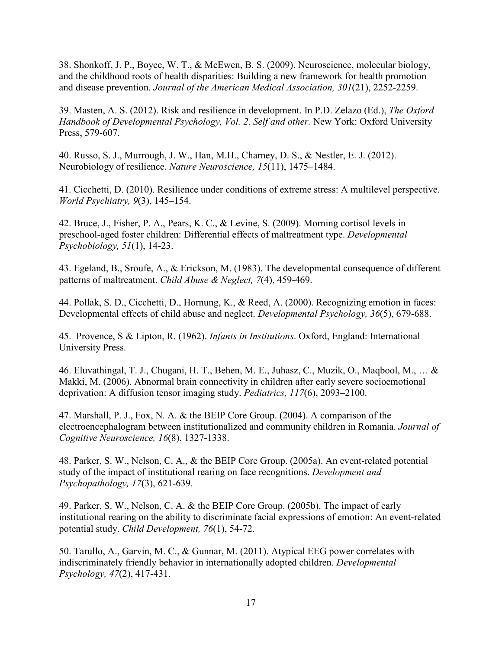38. Shonkoff, J. P., Boyce, W. T., & McEwen, B. S. (2009). Neuroscience, molecular biology, and the childhood roots of health disparities: Building a new framework for health promotion and disease prevention. *Journal of the American Medical Association, 301*(21), 2252-2259.

39. Masten, A. S. (2012). Risk and resilience in development. In P.D. Zelazo (Ed.), *The Oxford Handbook of Developmental Psychology, Vol. 2*. *Self and other.* New York: Oxford University Press, 579-607.

40. Russo, S. J., Murrough, J. W., Han, M.H., Charney, D. S., & Nestler, E. J. (2012). Neurobiology of resilience. *Nature Neuroscience, 15*(11), 1475–1484.

41. Cicchetti, D. (2010). Resilience under conditions of extreme stress: A multilevel perspective. *World Psychiatry, 9*(3), 145–154.

42. Bruce, J., Fisher, P. A., Pears, K. C., & Levine, S. (2009). Morning cortisol levels in preschool-aged foster children: Differential effects of maltreatment type. *Developmental Psychobiology, 51*(1), 14-23.

43. Egeland, B., Sroufe, A., & Erickson, M. (1983). The developmental consequence of different patterns of maltreatment. *Child Abuse & Neglect, 7*(4), 459-469.

44. Pollak, S. D., Cicchetti, D., Hornung, K., & Reed, A. (2000). Recognizing emotion in faces: Developmental effects of child abuse and neglect. *Developmental Psychology, 36*(5), 679-688.

45. Provence, S & Lipton, R. (1962). *Infants in Institutions*. Oxford, England: International University Press.

46. Eluvathingal, T. J., Chugani, H. T., Behen, M. E., Juhasz, C., Muzik, O., Maqbool, M., … & Makki, M. (2006). Abnormal brain connectivity in children after early severe socioemotional deprivation: A diffusion tensor imaging study. *Pediatrics, 117*(6), 2093–2100.

47. Marshall, P. J., Fox, N. A. & the BEIP Core Group. (2004). A comparison of the electroencephalogram between institutionalized and community children in Romania. *Journal of Cognitive Neuroscience, 16*(8), 1327-1338.

48. Parker, S. W., Nelson, C. A., & the BEIP Core Group. (2005a). An event-related potential study of the impact of institutional rearing on face recognitions. *Development and Psychopathology, 17*(3), 621-639.

49. Parker, S. W., Nelson, C. A. & the BEIP Core Group. (2005b). The impact of early institutional rearing on the ability to discriminate facial expressions of emotion: An event-related potential study. *Child Development, 76*(1), 54-72.

50. Tarullo, A., Garvin, M. C., & Gunnar, M. (2011). Atypical EEG power correlates with indiscriminately friendly behavior in internationally adopted children. *Developmental Psychology, 47*(2), 417-431.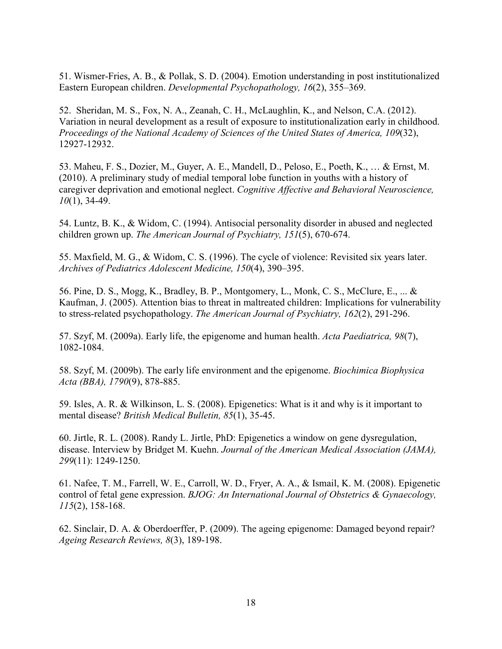51. Wismer-Fries, A. B., & Pollak, S. D. (2004). Emotion understanding in post institutionalized Eastern European children. *Developmental Psychopathology, 16*(2), 355–369.

52. Sheridan, M. S., Fox, N. A., Zeanah, C. H., McLaughlin, K., and Nelson, C.A. (2012). Variation in neural development as a result of exposure to institutionalization early in childhood. *Proceedings of the National Academy of Sciences of the United States of America, 109*(32), 12927-12932.

53. Maheu, F. S., Dozier, M., Guyer, A. E., Mandell, D., Peloso, E., Poeth, K., … & Ernst, M. (2010). A preliminary study of medial temporal lobe function in youths with a history of caregiver deprivation and emotional neglect. *Cognitive Affective and Behavioral Neuroscience, 10*(1), 34-49.

54. Luntz, B. K., & Widom, C. (1994). Antisocial personality disorder in abused and neglected children grown up. *The American Journal of Psychiatry, 151*(5), 670-674.

55. Maxfield, M. G., & Widom, C. S. (1996). The cycle of violence: Revisited six years later. *Archives of Pediatrics Adolescent Medicine, 150*(4), 390–395.

56. Pine, D. S., Mogg, K., Bradley, B. P., Montgomery, L., Monk, C. S., McClure, E., ... & Kaufman, J. (2005). Attention bias to threat in maltreated children: Implications for vulnerability to stress-related psychopathology. *The American Journal of Psychiatry, 162*(2), 291-296.

57. Szyf, M. (2009a). Early life, the epigenome and human health. *Acta Paediatrica, 98*(7), 1082-1084.

58. Szyf, M. (2009b). The early life environment and the epigenome. *Biochimica Biophysica Acta (BBA), 1790*(9), 878-885.

59. Isles, A. R. & Wilkinson, L. S. (2008). Epigenetics: What is it and why is it important to mental disease? *British Medical Bulletin, 85*(1), 35-45.

60. Jirtle, R. L. (2008). Randy L. Jirtle, PhD: Epigenetics a window on gene dysregulation, disease. Interview by Bridget M. Kuehn. *Journal of the American Medical Association (JAMA), 299*(11): 1249-1250.

61. Nafee, T. M., Farrell, W. E., Carroll, W. D., Fryer, A. A., & Ismail, K. M. (2008). Epigenetic control of fetal gene expression. *BJOG: An International Journal of Obstetrics & Gynaecology, 115*(2), 158-168.

62. Sinclair, D. A. & Oberdoerffer, P. (2009). The ageing epigenome: Damaged beyond repair? *Ageing Research Reviews, 8*(3), 189-198.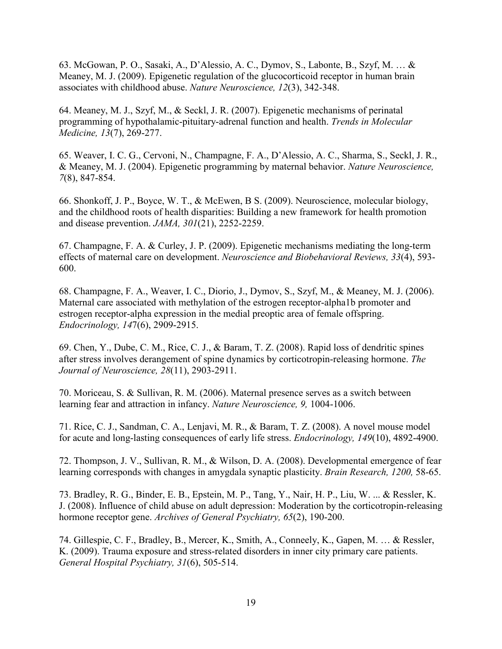63. McGowan, P. O., Sasaki, A., D'Alessio, A. C., Dymov, S., Labonte, B., Szyf, M. … & Meaney, M. J. (2009). Epigenetic regulation of the glucocorticoid receptor in human brain associates with childhood abuse. *Nature Neuroscience, 12*(3), 342-348.

64. Meaney, M. J., Szyf, M., & Seckl, J. R. (2007). Epigenetic mechanisms of perinatal programming of hypothalamic-pituitary-adrenal function and health. *Trends in Molecular Medicine, 13*(7), 269-277.

65. Weaver, I. C. G., Cervoni, N., Champagne, F. A., D'Alessio, A. C., Sharma, S., Seckl, J. R., & Meaney, M. J. (2004). Epigenetic programming by maternal behavior. *Nature Neuroscience, 7*(8), 847-854.

66. Shonkoff, J. P., Boyce, W. T., & McEwen, B S. (2009). Neuroscience, molecular biology, and the childhood roots of health disparities: Building a new framework for health promotion and disease prevention. *JAMA, 301*(21), 2252-2259.

67. Champagne, F. A. & Curley, J. P. (2009). Epigenetic mechanisms mediating the long-term effects of maternal care on development. *Neuroscience and Biobehavioral Reviews, 33*(4), 593- 600.

68. Champagne, F. A., Weaver, I. C., Diorio, J., Dymov, S., Szyf, M., & Meaney, M. J. (2006). Maternal care associated with methylation of the estrogen receptor-alpha1b promoter and estrogen receptor-alpha expression in the medial preoptic area of female offspring. *Endocrinology, 14*7(6), 2909-2915.

69. Chen, Y., Dube, C. M., Rice, C. J., & Baram, T. Z. (2008). Rapid loss of dendritic spines after stress involves derangement of spine dynamics by corticotropin-releasing hormone. *The Journal of Neuroscience, 28*(11), 2903-2911.

70. Moriceau, S. & Sullivan, R. M. (2006). Maternal presence serves as a switch between learning fear and attraction in infancy. *Nature Neuroscience, 9,* 1004-1006.

71. Rice, C. J., Sandman, C. A., Lenjavi, M. R., & Baram, T. Z. (2008). A novel mouse model for acute and long-lasting consequences of early life stress. *Endocrinology, 149*(10), 4892-4900.

72. Thompson, J. V., Sullivan, R. M., & Wilson, D. A. (2008). Developmental emergence of fear learning corresponds with changes in amygdala synaptic plasticity. *Brain Research, 1200,* 58-65.

73. Bradley, R. G., Binder, E. B., Epstein, M. P., Tang, Y., Nair, H. P., Liu, W. ... & Ressler, K. J. (2008). Influence of child abuse on adult depression: Moderation by the corticotropin-releasing hormone receptor gene. *Archives of General Psychiatry, 65*(2), 190-200.

74. Gillespie, C. F., Bradley, B., Mercer, K., Smith, A., Conneely, K., Gapen, M. … & Ressler, K. (2009). Trauma exposure and stress-related disorders in inner city primary care patients. *General Hospital Psychiatry, 31*(6), 505-514.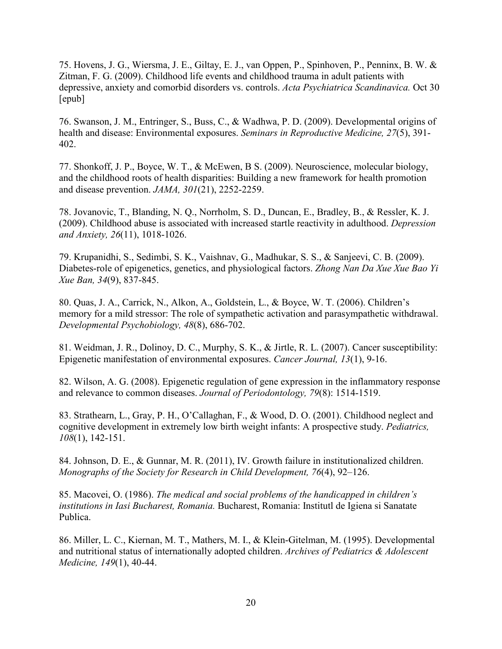75. Hovens, J. G., Wiersma, J. E., Giltay, E. J., van Oppen, P., Spinhoven, P., Penninx, B. W. & Zitman, F. G. (2009). Childhood life events and childhood trauma in adult patients with depressive, anxiety and comorbid disorders vs. controls. *Acta Psychiatrica Scandinavica.* Oct 30 [epub]

76. Swanson, J. M., Entringer, S., Buss, C., & Wadhwa, P. D. (2009). Developmental origins of health and disease: Environmental exposures. *Seminars in Reproductive Medicine, 27*(5), 391- 402.

77. Shonkoff, J. P., Boyce, W. T., & McEwen, B S. (2009). Neuroscience, molecular biology, and the childhood roots of health disparities: Building a new framework for health promotion and disease prevention. *JAMA, 301*(21), 2252-2259.

78. Jovanovic, T., Blanding, N. Q., Norrholm, S. D., Duncan, E., Bradley, B., & Ressler, K. J. (2009). Childhood abuse is associated with increased startle reactivity in adulthood. *Depression and Anxiety, 26*(11), 1018-1026.

79. Krupanidhi, S., Sedimbi, S. K., Vaishnav, G., Madhukar, S. S., & Sanjeevi, C. B. (2009). Diabetes-role of epigenetics, genetics, and physiological factors. *Zhong Nan Da Xue Xue Bao Yi Xue Ban, 34*(9), 837-845.

80. Quas, J. A., Carrick, N., Alkon, A., Goldstein, L., & Boyce, W. T. (2006). Children's memory for a mild stressor: The role of sympathetic activation and parasympathetic withdrawal. *Developmental Psychobiology, 48*(8), 686-702.

81. Weidman, J. R., Dolinoy, D. C., Murphy, S. K., & Jirtle, R. L. (2007). Cancer susceptibility: Epigenetic manifestation of environmental exposures. *Cancer Journal, 13*(1), 9-16.

82. Wilson, A. G. (2008). Epigenetic regulation of gene expression in the inflammatory response and relevance to common diseases. *Journal of Periodontology, 79*(8): 1514-1519.

83. Strathearn, L., Gray, P. H., O'Callaghan, F., & Wood, D. O. (2001). Childhood neglect and cognitive development in extremely low birth weight infants: A prospective study. *Pediatrics, 108*(1), 142-151.

84. Johnson, D. E., & Gunnar, M. R. (2011), IV. Growth failure in institutionalized children. *Monographs of the Society for Research in Child Development, 76*(4), 92–126.

85. Macovei, O. (1986). *The medical and social problems of the handicapped in children's institutions in Iasi Bucharest, Romania.* Bucharest, Romania: Institutl de Igiena si Sanatate Publica.

86. Miller, L. C., Kiernan, M. T., Mathers, M. I., & Klein-Gitelman, M. (1995). Developmental and nutritional status of internationally adopted children. *Archives of Pediatrics & Adolescent Medicine, 149*(1), 40-44.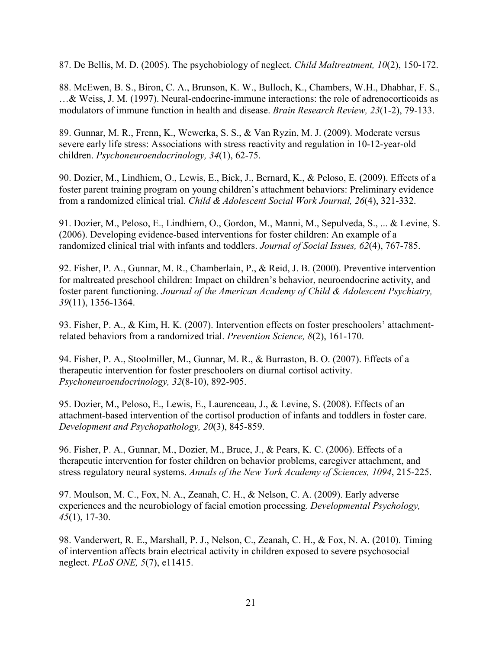87. De Bellis, M. D. (2005). The psychobiology of neglect. *Child Maltreatment, 10*(2), 150-172.

88. McEwen, B. S., Biron, C. A., Brunson, K. W., Bulloch, K., Chambers, W.H., Dhabhar, F. S., …& Weiss, J. M. (1997). Neural-endocrine-immune interactions: the role of adrenocorticoids as modulators of immune function in health and disease. *Brain Research Review, 23*(1-2), 79-133.

89. Gunnar, M. R., Frenn, K., Wewerka, S. S., & Van Ryzin, M. J. (2009). Moderate versus severe early life stress: Associations with stress reactivity and regulation in 10-12-year-old children. *Psychoneuroendocrinology, 34*(1), 62-75.

90. Dozier, M., Lindhiem, O., Lewis, E., Bick, J., Bernard, K., & Peloso, E. (2009). Effects of a foster parent training program on young children's attachment behaviors: Preliminary evidence from a randomized clinical trial. *Child & Adolescent Social Work Journal, 26*(4), 321-332.

91. Dozier, M., Peloso, E., Lindhiem, O., Gordon, M., Manni, M., Sepulveda, S., ... & Levine, S. (2006). Developing evidence-based interventions for foster children: An example of a randomized clinical trial with infants and toddlers. *Journal of Social Issues, 62*(4), 767-785.

92. Fisher, P. A., Gunnar, M. R., Chamberlain, P., & Reid, J. B. (2000). Preventive intervention for maltreated preschool children: Impact on children's behavior, neuroendocrine activity, and foster parent functioning. *Journal of the American Academy of Child & Adolescent Psychiatry, 39*(11), 1356-1364.

93. Fisher, P. A., & Kim, H. K. (2007). Intervention effects on foster preschoolers' attachmentrelated behaviors from a randomized trial. *Prevention Science, 8*(2), 161-170.

94. Fisher, P. A., Stoolmiller, M., Gunnar, M. R., & Burraston, B. O. (2007). Effects of a therapeutic intervention for foster preschoolers on diurnal cortisol activity. *Psychoneuroendocrinology, 32*(8-10), 892-905.

95. Dozier, M., Peloso, E., Lewis, E., Laurenceau, J., & Levine, S. (2008). Effects of an attachment-based intervention of the cortisol production of infants and toddlers in foster care. *Development and Psychopathology, 20*(3), 845-859.

96. Fisher, P. A., Gunnar, M., Dozier, M., Bruce, J., & Pears, K. C. (2006). Effects of a therapeutic intervention for foster children on behavior problems, caregiver attachment, and stress regulatory neural systems. *Annals of the New York Academy of Sciences, 1094*, 215-225.

97. Moulson, M. C., Fox, N. A., Zeanah, C. H., & Nelson, C. A. (2009). Early adverse experiences and the neurobiology of facial emotion processing. *Developmental Psychology, 45*(1), 17-30.

98. Vanderwert, R. E., Marshall, P. J., Nelson, C., Zeanah, C. H., & Fox, N. A. (2010). Timing of intervention affects brain electrical activity in children exposed to severe psychosocial neglect. *PLoS ONE, 5*(7), e11415.